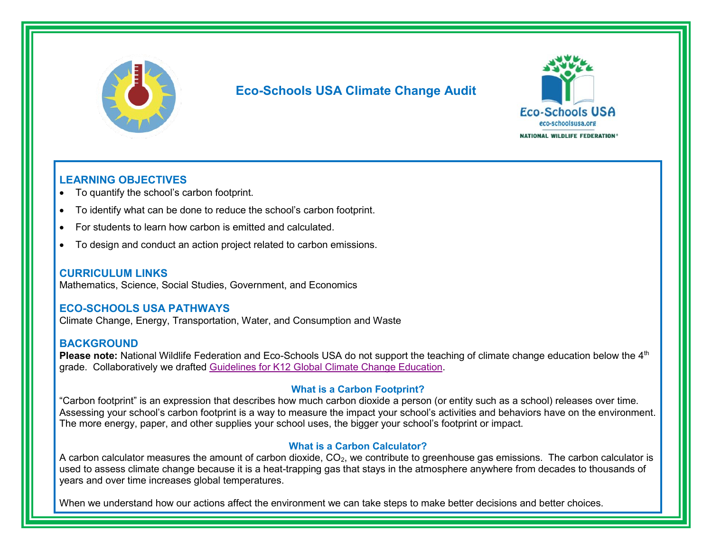

# **Eco-Schools USA Climate Change Audit**



#### **LEARNING OBJECTIVES**

- To quantify the school's carbon footprint.
- To identify what can be done to reduce the school's carbon footprint.
- For students to learn how carbon is emitted and calculated.
- To design and conduct an action project related to carbon emissions.

#### **CURRICULUM LINKS**

Mathematics, Science, Social Studies, Government, and Economics

### **ECO-SCHOOLS USA PATHWAYS**

Climate Change, Energy, Transportation, Water, and Consumption and Waste

#### **BACKGROUND**

**Please note:** National Wildlife Federation and Eco-Schools USA do not support the teaching of climate change education below the 4<sup>th</sup> grade. Collaboratively we drafted [Guidelines for K12 Global Climate Change Education.](https://www.nwf.org/-/media/Documents/PDFs/Eco-Schools/NWF-NAAEE-CCE-global-guidelines.ashx)

#### **What is a Carbon Footprint?**

"Carbon footprint" is an expression that describes how much carbon dioxide a person (or entity such as a school) releases over time. Assessing your school's carbon footprint is a way to measure the impact your school's activities and behaviors have on the environment. The more energy, paper, and other supplies your school uses, the bigger your school's footprint or impact.

#### **What is a Carbon Calculator?**

A carbon calculator measures the amount of carbon dioxide, CO<sub>2</sub>, we contribute to greenhouse gas emissions. The carbon calculator is used to assess climate change because it is a heat-trapping gas that stays in the atmosphere anywhere from decades to thousands of years and over time increases global temperatures.

When we understand how our actions affect the environment we can take steps to make better decisions and better choices.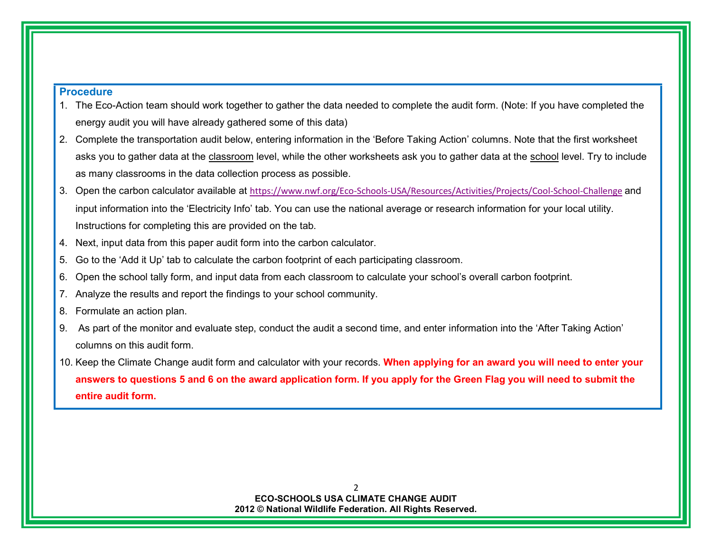#### **Procedure**

- 1. The Eco-Action team should work together to gather the data needed to complete the audit form. (Note: If you have completed the energy audit you will have already gathered some of this data)
- 2. Complete the transportation audit below, entering information in the 'Before Taking Action' columns. Note that the first worksheet asks you to gather data at the classroom level, while the other worksheets ask you to gather data at the school level. Try to include as many classrooms in the data collection process as possible.
- 3. Open the carbon calculator available at <https://www.nwf.org/Eco-Schools-USA/Resources/Activities/Projects/Cool-School-Challenge> and input information into the 'Electricity Info' tab. You can use the national average or research information for your local utility. Instructions for completing this are provided on the tab.
- 4. Next, input data from this paper audit form into the carbon calculator.
- 5. Go to the 'Add it Up' tab to calculate the carbon footprint of each participating classroom.
- 6. Open the school tally form, and input data from each classroom to calculate your school's overall carbon footprint.
- 7. Analyze the results and report the findings to your school community.
- 8. Formulate an action plan.

- 9. As part of the monitor and evaluate step, conduct the audit a second time, and enter information into the 'After Taking Action' columns on this audit form.
- 10. Keep the Climate Change audit form and calculator with your records. **When applying for an award you will need to enter your answers to questions 5 and 6 on the award application form. If you apply for the Green Flag you will need to submit the entire audit form.**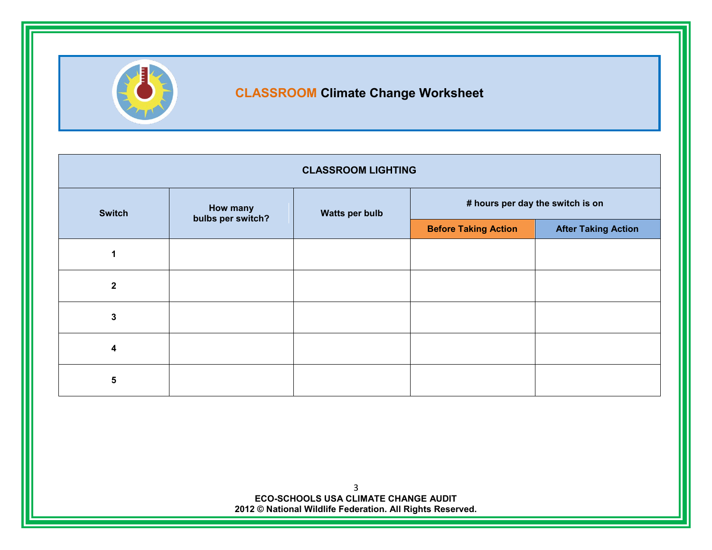

# **CLASSROOM Climate Change Worksheet**

| <b>CLASSROOM LIGHTING</b> |                                                 |                             |                                  |  |  |
|---------------------------|-------------------------------------------------|-----------------------------|----------------------------------|--|--|
| <b>Switch</b>             | How many<br>Watts per bulb<br>bulbs per switch? |                             | # hours per day the switch is on |  |  |
|                           |                                                 | <b>Before Taking Action</b> | <b>After Taking Action</b>       |  |  |
|                           |                                                 |                             |                                  |  |  |
| $\mathbf{2}$              |                                                 |                             |                                  |  |  |
| $\overline{3}$            |                                                 |                             |                                  |  |  |
| 4                         |                                                 |                             |                                  |  |  |
| 5                         |                                                 |                             |                                  |  |  |

3 **ECO-SCHOOLS USA CLIMATE CHANGE AUDIT 2012 © National Wildlife Federation. All Rights Reserved.**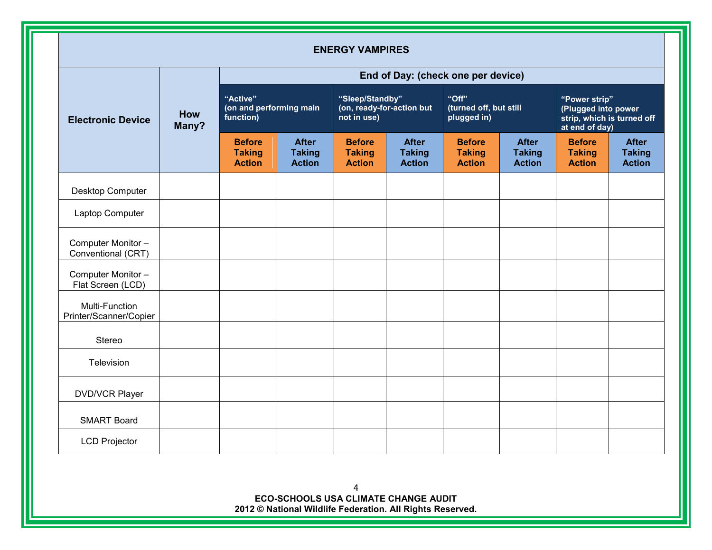| <b>ENERGY VAMPIRES</b>                          |                                                  |                                                 |                                                             |                                                 |                                                |                                                 |                                                                                      |                                                 |                                                |
|-------------------------------------------------|--------------------------------------------------|-------------------------------------------------|-------------------------------------------------------------|-------------------------------------------------|------------------------------------------------|-------------------------------------------------|--------------------------------------------------------------------------------------|-------------------------------------------------|------------------------------------------------|
| End of Day: (check one per device)              |                                                  |                                                 |                                                             |                                                 |                                                |                                                 |                                                                                      |                                                 |                                                |
| How<br><b>Electronic Device</b><br>Many?        | "Active"<br>(on and performing main<br>function) |                                                 | "Sleep/Standby"<br>(on, ready-for-action but<br>not in use) |                                                 | "Off"<br>(turned off, but still<br>plugged in) |                                                 | "Power strip"<br>(Plugged into power<br>strip, which is turned off<br>at end of day) |                                                 |                                                |
|                                                 |                                                  | <b>Before</b><br><b>Taking</b><br><b>Action</b> | <b>After</b><br><b>Taking</b><br><b>Action</b>              | <b>Before</b><br><b>Taking</b><br><b>Action</b> | <b>After</b><br><b>Taking</b><br><b>Action</b> | <b>Before</b><br><b>Taking</b><br><b>Action</b> | <b>After</b><br><b>Taking</b><br><b>Action</b>                                       | <b>Before</b><br><b>Taking</b><br><b>Action</b> | <b>After</b><br><b>Taking</b><br><b>Action</b> |
| Desktop Computer                                |                                                  |                                                 |                                                             |                                                 |                                                |                                                 |                                                                                      |                                                 |                                                |
| Laptop Computer                                 |                                                  |                                                 |                                                             |                                                 |                                                |                                                 |                                                                                      |                                                 |                                                |
| Computer Monitor-<br>Conventional (CRT)         |                                                  |                                                 |                                                             |                                                 |                                                |                                                 |                                                                                      |                                                 |                                                |
| Computer Monitor -<br>Flat Screen (LCD)         |                                                  |                                                 |                                                             |                                                 |                                                |                                                 |                                                                                      |                                                 |                                                |
| <b>Multi-Function</b><br>Printer/Scanner/Copier |                                                  |                                                 |                                                             |                                                 |                                                |                                                 |                                                                                      |                                                 |                                                |
| Stereo                                          |                                                  |                                                 |                                                             |                                                 |                                                |                                                 |                                                                                      |                                                 |                                                |
| Television                                      |                                                  |                                                 |                                                             |                                                 |                                                |                                                 |                                                                                      |                                                 |                                                |
| <b>DVD/VCR Player</b>                           |                                                  |                                                 |                                                             |                                                 |                                                |                                                 |                                                                                      |                                                 |                                                |
| <b>SMART Board</b>                              |                                                  |                                                 |                                                             |                                                 |                                                |                                                 |                                                                                      |                                                 |                                                |
| <b>LCD Projector</b>                            |                                                  |                                                 |                                                             |                                                 |                                                |                                                 |                                                                                      |                                                 |                                                |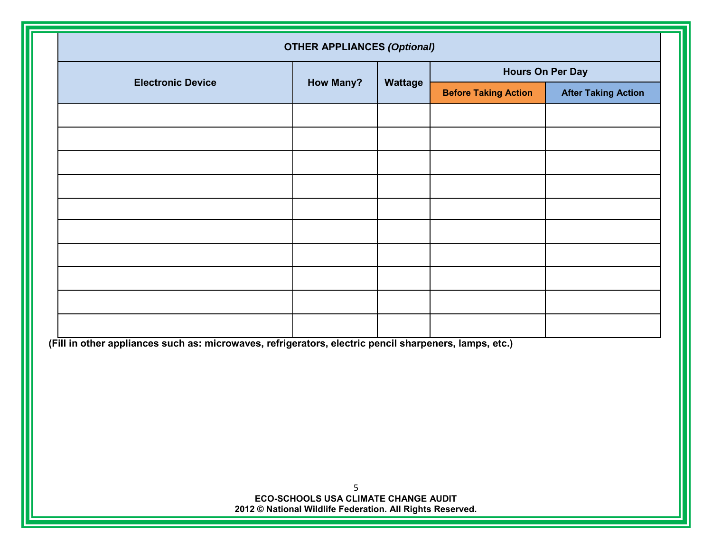| <b>OTHER APPLIANCES (Optional)</b>                                                                     |                  |         |                             |                            |
|--------------------------------------------------------------------------------------------------------|------------------|---------|-----------------------------|----------------------------|
| <b>Electronic Device</b>                                                                               | <b>How Many?</b> | Wattage | <b>Hours On Per Day</b>     |                            |
|                                                                                                        |                  |         | <b>Before Taking Action</b> | <b>After Taking Action</b> |
|                                                                                                        |                  |         |                             |                            |
|                                                                                                        |                  |         |                             |                            |
|                                                                                                        |                  |         |                             |                            |
|                                                                                                        |                  |         |                             |                            |
|                                                                                                        |                  |         |                             |                            |
|                                                                                                        |                  |         |                             |                            |
|                                                                                                        |                  |         |                             |                            |
|                                                                                                        |                  |         |                             |                            |
|                                                                                                        |                  |         |                             |                            |
|                                                                                                        |                  |         |                             |                            |
| (Fill in other appliances such as: microwaves, refrigerators, electric pencil sharpeners, lamps, etc.) |                  |         |                             |                            |
|                                                                                                        |                  |         |                             |                            |
|                                                                                                        |                  |         |                             |                            |
|                                                                                                        |                  |         |                             |                            |
|                                                                                                        |                  |         |                             |                            |
|                                                                                                        |                  |         |                             |                            |
| 5<br>ECO-SCHOOLS USA CLIMATE CHANGE AUDIT                                                              |                  |         |                             |                            |
| 2012 © National Wildlife Federation. All Rights Reserved.                                              |                  |         |                             |                            |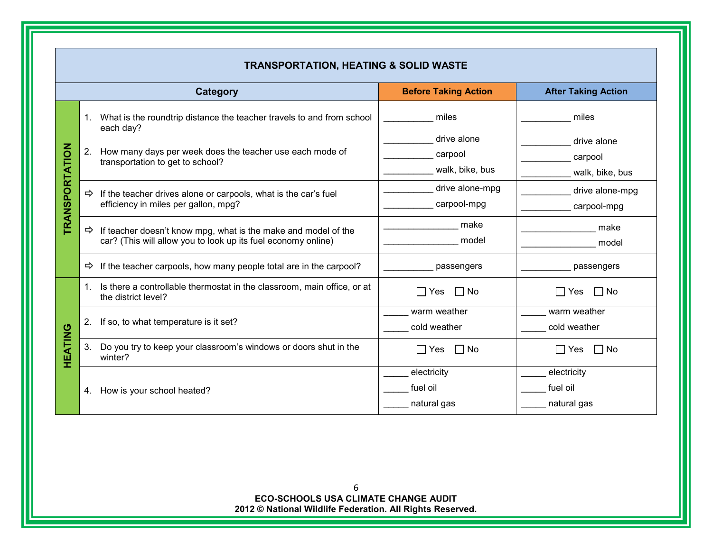|                |               | <b>TRANSPORTATION, HEATING &amp; SOLID WASTE</b>                                                                                |                                           |                                           |
|----------------|---------------|---------------------------------------------------------------------------------------------------------------------------------|-------------------------------------------|-------------------------------------------|
|                |               | <b>Category</b>                                                                                                                 | <b>Before Taking Action</b>               | <b>After Taking Action</b>                |
|                |               | 1. What is the roundtrip distance the teacher travels to and from school<br>each day?                                           | miles                                     | miles                                     |
| TRANSPORTATION | 2.            | How many days per week does the teacher use each mode of<br>transportation to get to school?                                    | drive alone<br>carpool<br>walk, bike, bus | drive alone<br>carpool<br>walk, bike, bus |
|                | $\Rightarrow$ | If the teacher drives alone or carpools, what is the car's fuel<br>efficiency in miles per gallon, mpg?                         | drive alone-mpg<br>carpool-mpg            | drive alone-mpg<br>carpool-mpg            |
|                | $\Rightarrow$ | If teacher doesn't know mpg, what is the make and model of the<br>car? (This will allow you to look up its fuel economy online) | make<br>model                             | make<br>model                             |
|                | $\Rightarrow$ | If the teacher carpools, how many people total are in the carpool?                                                              | passengers                                | passengers                                |
|                |               | 1. Is there a controllable thermostat in the classroom, main office, or at<br>the district level?                               | $\Box$ No<br>Yes<br>$\perp$               | $\Box$ No<br>Yes                          |
|                | 2.            | If so, to what temperature is it set?                                                                                           | warm weather<br>cold weather              | warm weather<br>cold weather              |
| HEATING        | 3.            | Do you try to keep your classroom's windows or doors shut in the<br>winter?                                                     | $\Box$ No<br>$\Box$ Yes                   | □ No<br>  Yes                             |
|                | 4.            | How is your school heated?                                                                                                      | electricity<br>fuel oil<br>natural gas    | electricity<br>fuel oil<br>natural gas    |

#### 6 **ECO-SCHOOLS USA CLIMATE CHANGE AUDIT 2012 © National Wildlife Federation. All Rights Reserved.**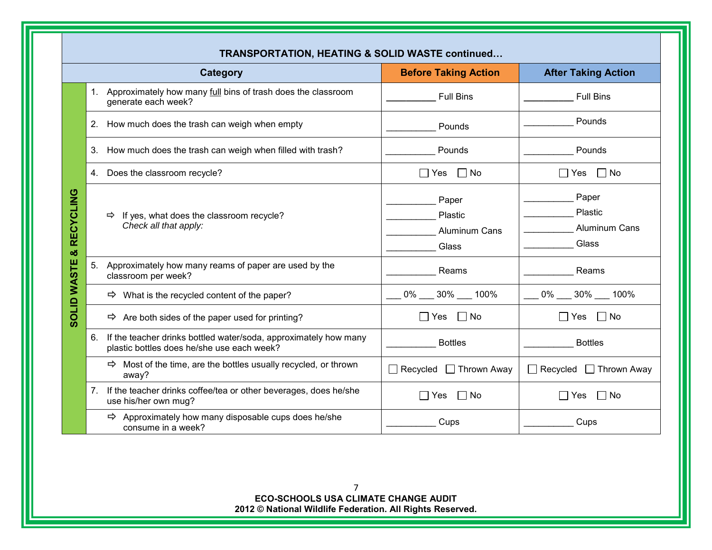|                          | <b>Category</b>                                                                                                | <b>Before Taking Action</b>                       | <b>After Taking Action</b>                        |
|--------------------------|----------------------------------------------------------------------------------------------------------------|---------------------------------------------------|---------------------------------------------------|
|                          | 1. Approximately how many full bins of trash does the classroom<br>generate each week?                         | <b>Full Bins</b>                                  | <b>Full Bins</b>                                  |
| 2.                       | How much does the trash can weigh when empty                                                                   | Pounds                                            | Pounds                                            |
| 3.                       | How much does the trash can weigh when filled with trash?                                                      | Pounds                                            | Pounds                                            |
|                          | 4. Does the classroom recycle?                                                                                 | $\Box$ No<br>$\Box$ Yes                           | $\Box$ No<br>∣ Yes                                |
| <b>RECYCLING</b><br>oð   | $\Rightarrow$ If yes, what does the classroom recycle?<br>Check all that apply:                                | Paper<br>Plastic<br><b>Aluminum Cans</b><br>Glass | Paper<br>Plastic<br><b>Aluminum Cans</b><br>Glass |
| <b>SOLID WASTE</b><br>5. | Approximately how many reams of paper are used by the<br>classroom per week?                                   | Reams                                             | Reams                                             |
|                          | $\Rightarrow$ What is the recycled content of the paper?                                                       | 0% 30% 100%                                       | 0% 30% 100%                                       |
|                          | $\Rightarrow$ Are both sides of the paper used for printing?                                                   | No<br>l Yes                                       | No<br>∣ Yes                                       |
| 6.                       | If the teacher drinks bottled water/soda, approximately how many<br>plastic bottles does he/she use each week? | <b>Bottles</b>                                    | <b>Bottles</b>                                    |
|                          | $\Rightarrow$ Most of the time, are the bottles usually recycled, or thrown<br>away?                           | $\Box$ Recycled $\Box$ Thrown Away                | $\Box$ Recycled $\Box$ Thrown Away                |
| 7.                       | If the teacher drinks coffee/tea or other beverages, does he/she<br>use his/her own mug?                       | $\Box$ Yes<br>$\Box$ No                           | $\Box$ No<br>$\Box$ Yes                           |
|                          | $\Rightarrow$ Approximately how many disposable cups does he/she<br>consume in a week?                         | Cups                                              | Cups                                              |

**TRANSPORTATION**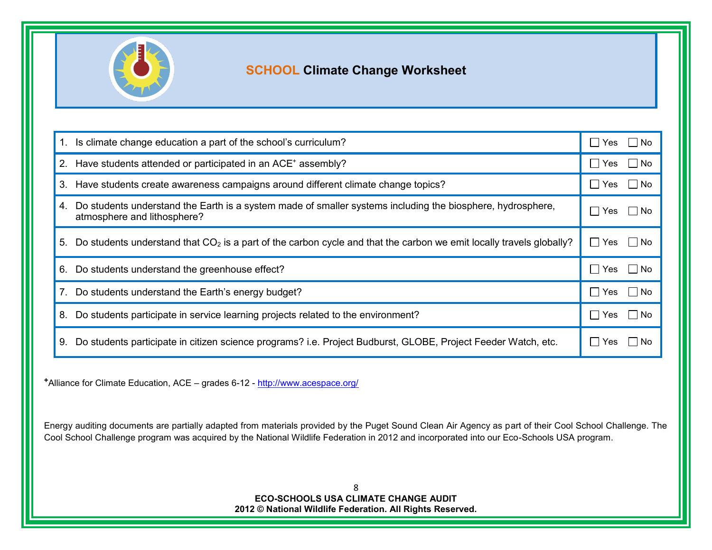

# **SCHOOL Climate Change Worksheet**

| 1. Is climate change education a part of the school's curriculum?                                                                            | Yes $\Box$ No<br>$\perp$      |
|----------------------------------------------------------------------------------------------------------------------------------------------|-------------------------------|
| 2. Have students attended or participated in an ACE <sup>+</sup> assembly?                                                                   | Yes<br>∣ No<br>$\perp$        |
| 3. Have students create awareness campaigns around different climate change topics?                                                          | ∣ No<br>Yes<br>$\perp$        |
| 4. Do students understand the Earth is a system made of smaller systems including the biosphere, hydrosphere,<br>atmosphere and lithosphere? | Yes:<br>l INo<br>$\mathsf{L}$ |
| 5. Do students understand that $CO2$ is a part of the carbon cycle and that the carbon we emit locally travels globally?                     | Yes $\Box$ No<br>$\mathsf{L}$ |
| 6. Do students understand the greenhouse effect?                                                                                             | Yes<br>l INo<br>$\perp$       |
| 7. Do students understand the Earth's energy budget?                                                                                         | Yes<br>l INo<br>$\perp$       |
| Do students participate in service learning projects related to the environment?<br>8.                                                       | l I No<br>Yes<br>$\mathbf{L}$ |
| Do students participate in citizen science programs? i.e. Project Budburst, GLOBE, Project Feeder Watch, etc.<br>9.                          | Yes.<br>No.                   |

**<sup>+</sup>**Alliance for Climate Education, ACE – grades 6-12 - <http://www.acespace.org/>

Energy auditing documents are partially adapted from materials provided by the Puget Sound Clean Air Agency as part of their Cool School Challenge. The Cool School Challenge program was acquired by the National Wildlife Federation in 2012 and incorporated into our Eco-Schools USA program.